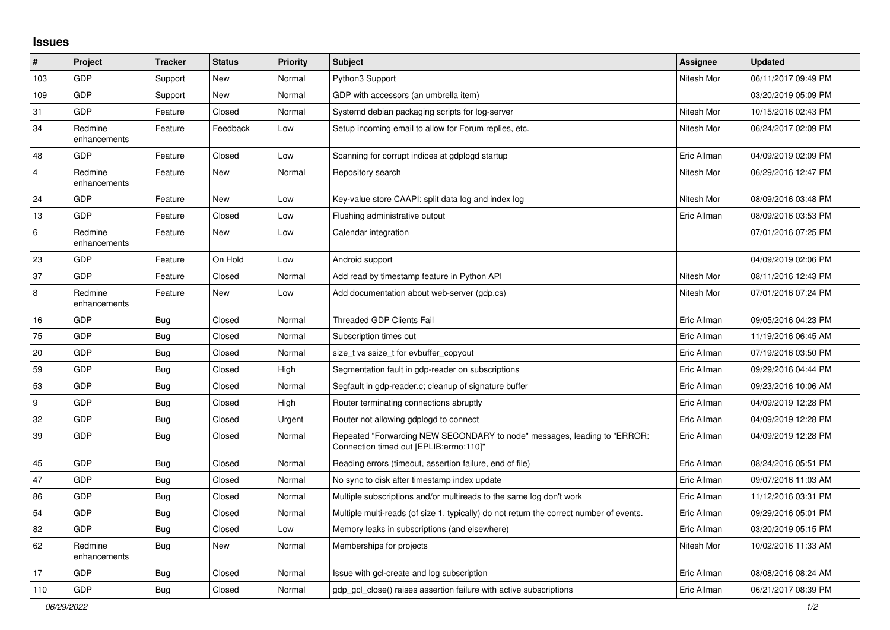## **Issues**

| $\pmb{\sharp}$ | Project                 | <b>Tracker</b> | <b>Status</b> | <b>Priority</b> | <b>Subject</b>                                                                                                      | <b>Assignee</b> | <b>Updated</b>      |
|----------------|-------------------------|----------------|---------------|-----------------|---------------------------------------------------------------------------------------------------------------------|-----------------|---------------------|
| 103            | GDP                     | Support        | New           | Normal          | Python3 Support                                                                                                     | Nitesh Mor      | 06/11/2017 09:49 PM |
| 109            | GDP                     | Support        | New           | Normal          | GDP with accessors (an umbrella item)                                                                               |                 | 03/20/2019 05:09 PM |
| 31             | GDP                     | Feature        | Closed        | Normal          | Systemd debian packaging scripts for log-server                                                                     | Nitesh Mor      | 10/15/2016 02:43 PM |
| 34             | Redmine<br>enhancements | Feature        | Feedback      | Low             | Setup incoming email to allow for Forum replies, etc.                                                               | Nitesh Mor      | 06/24/2017 02:09 PM |
| 48             | GDP                     | Feature        | Closed        | Low             | Scanning for corrupt indices at gdplogd startup                                                                     | Eric Allman     | 04/09/2019 02:09 PM |
| $\overline{4}$ | Redmine<br>enhancements | Feature        | New           | Normal          | Repository search                                                                                                   | Nitesh Mor      | 06/29/2016 12:47 PM |
| 24             | GDP                     | Feature        | New           | Low             | Key-value store CAAPI: split data log and index log                                                                 | Nitesh Mor      | 08/09/2016 03:48 PM |
| 13             | GDP                     | Feature        | Closed        | Low             | Flushing administrative output                                                                                      | Eric Allman     | 08/09/2016 03:53 PM |
| 6              | Redmine<br>enhancements | Feature        | New           | Low             | Calendar integration                                                                                                |                 | 07/01/2016 07:25 PM |
| 23             | GDP                     | Feature        | On Hold       | Low             | Android support                                                                                                     |                 | 04/09/2019 02:06 PM |
| 37             | GDP                     | Feature        | Closed        | Normal          | Add read by timestamp feature in Python API                                                                         | Nitesh Mor      | 08/11/2016 12:43 PM |
| 8              | Redmine<br>enhancements | Feature        | New           | Low             | Add documentation about web-server (gdp.cs)                                                                         | Nitesh Mor      | 07/01/2016 07:24 PM |
| 16             | GDP                     | Bug            | Closed        | Normal          | <b>Threaded GDP Clients Fail</b>                                                                                    | Eric Allman     | 09/05/2016 04:23 PM |
| 75             | GDP                     | <b>Bug</b>     | Closed        | Normal          | Subscription times out                                                                                              | Eric Allman     | 11/19/2016 06:45 AM |
| 20             | GDP                     | <b>Bug</b>     | Closed        | Normal          | size_t vs ssize_t for evbuffer_copyout                                                                              | Eric Allman     | 07/19/2016 03:50 PM |
| 59             | GDP                     | <b>Bug</b>     | Closed        | High            | Segmentation fault in gdp-reader on subscriptions                                                                   | Eric Allman     | 09/29/2016 04:44 PM |
| 53             | GDP                     | <b>Bug</b>     | Closed        | Normal          | Segfault in gdp-reader.c; cleanup of signature buffer                                                               | Eric Allman     | 09/23/2016 10:06 AM |
| 9              | GDP                     | <b>Bug</b>     | Closed        | High            | Router terminating connections abruptly                                                                             | Eric Allman     | 04/09/2019 12:28 PM |
| 32             | GDP                     | <b>Bug</b>     | Closed        | Urgent          | Router not allowing gdplogd to connect                                                                              | Eric Allman     | 04/09/2019 12:28 PM |
| 39             | GDP                     | Bug            | Closed        | Normal          | Repeated "Forwarding NEW SECONDARY to node" messages, leading to "ERROR:<br>Connection timed out [EPLIB:errno:110]" | Eric Allman     | 04/09/2019 12:28 PM |
| 45             | GDP                     | <b>Bug</b>     | Closed        | Normal          | Reading errors (timeout, assertion failure, end of file)                                                            | Eric Allman     | 08/24/2016 05:51 PM |
| 47             | GDP                     | Bug            | Closed        | Normal          | No sync to disk after timestamp index update                                                                        | Eric Allman     | 09/07/2016 11:03 AM |
| 86             | GDP                     | <b>Bug</b>     | Closed        | Normal          | Multiple subscriptions and/or multireads to the same log don't work                                                 | Eric Allman     | 11/12/2016 03:31 PM |
| 54             | GDP                     | <b>Bug</b>     | Closed        | Normal          | Multiple multi-reads (of size 1, typically) do not return the correct number of events.                             | Eric Allman     | 09/29/2016 05:01 PM |
| 82             | <b>GDP</b>              | Bug            | Closed        | Low             | Memory leaks in subscriptions (and elsewhere)                                                                       | Eric Allman     | 03/20/2019 05:15 PM |
| 62             | Redmine<br>enhancements | <b>Bug</b>     | <b>New</b>    | Normal          | Memberships for projects                                                                                            | Nitesh Mor      | 10/02/2016 11:33 AM |
| 17             | GDP                     | <b>Bug</b>     | Closed        | Normal          | Issue with gcl-create and log subscription                                                                          | Eric Allman     | 08/08/2016 08:24 AM |
| 110            | GDP                     | <b>Bug</b>     | Closed        | Normal          | gdp_gcl_close() raises assertion failure with active subscriptions                                                  | Eric Allman     | 06/21/2017 08:39 PM |